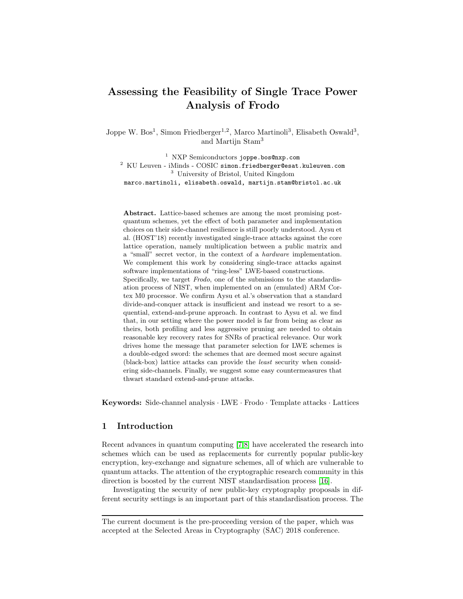# Assessing the Feasibility of Single Trace Power Analysis of Frodo

Joppe W. Bos<sup>1</sup>, Simon Friedberger<sup>1,2</sup>, Marco Martinoli<sup>3</sup>, Elisabeth Oswald<sup>3</sup>, and Martijn Stam<sup>3</sup>

<sup>1</sup> NXP Semiconductors joppe.bos@nxp.com <sup>2</sup> KU Leuven - iMinds - COSIC simon.friedberger@esat.kuleuven.com <sup>3</sup> University of Bristol, United Kingdom marco.martinoli, elisabeth.oswald, martijn.stam@bristol.ac.uk

Abstract. Lattice-based schemes are among the most promising postquantum schemes, yet the effect of both parameter and implementation choices on their side-channel resilience is still poorly understood. Aysu et al. (HOST'18) recently investigated single-trace attacks against the core lattice operation, namely multiplication between a public matrix and a "small" secret vector, in the context of a hardware implementation. We complement this work by considering single-trace attacks against software implementations of "ring-less" LWE-based constructions. Specifically, we target Frodo, one of the submissions to the standardisation process of NIST, when implemented on an (emulated) ARM Cortex M0 processor. We confirm Aysu et al.'s observation that a standard divide-and-conquer attack is insufficient and instead we resort to a sequential, extend-and-prune approach. In contrast to Aysu et al. we find that, in our setting where the power model is far from being as clear as theirs, both profiling and less aggressive pruning are needed to obtain reasonable key recovery rates for SNRs of practical relevance. Our work drives home the message that parameter selection for LWE schemes is a double-edged sword: the schemes that are deemed most secure against (black-box) lattice attacks can provide the least security when considering side-channels. Finally, we suggest some easy countermeasures that thwart standard extend-and-prune attacks.

Keywords: Side-channel analysis · LWE · Frodo · Template attacks · Lattices

#### 1 Introduction

Recent advances in quantum computing [\[7,](#page-16-0)[8\]](#page-16-1) have accelerated the research into schemes which can be used as replacements for currently popular public-key encryption, key-exchange and signature schemes, all of which are vulnerable to quantum attacks. The attention of the cryptographic research community in this direction is boosted by the current NIST standardisation process [\[16\]](#page-17-0).

Investigating the security of new public-key cryptography proposals in different security settings is an important part of this standardisation process. The

The current document is the pre-proceeding version of the paper, which was accepted at the Selected Areas in Cryptography (SAC) 2018 conference.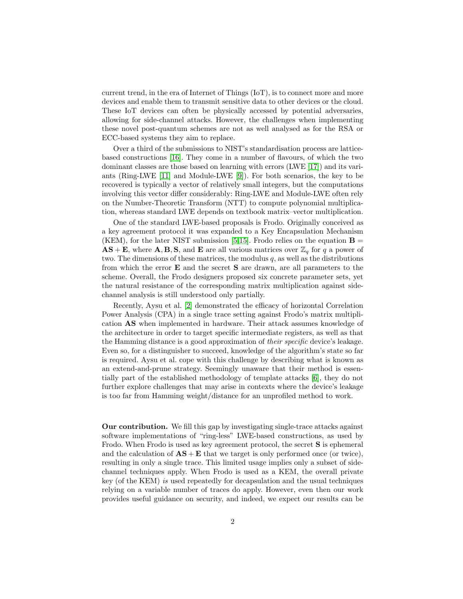current trend, in the era of Internet of Things (IoT), is to connect more and more devices and enable them to transmit sensitive data to other devices or the cloud. These IoT devices can often be physically accessed by potential adversaries, allowing for side-channel attacks. However, the challenges when implementing these novel post-quantum schemes are not as well analysed as for the RSA or ECC-based systems they aim to replace.

Over a third of the submissions to NIST's standardisation process are latticebased constructions [\[16\]](#page-17-0). They come in a number of flavours, of which the two dominant classes are those based on learning with errors (LWE [\[17\]](#page-17-1)) and its variants (Ring-LWE [\[11\]](#page-17-2) and Module-LWE [\[9\]](#page-16-2)). For both scenarios, the key to be recovered is typically a vector of relatively small integers, but the computations involving this vector differ considerably: Ring-LWE and Module-LWE often rely on the Number-Theoretic Transform (NTT) to compute polynomial multiplication, whereas standard LWE depends on textbook matrix–vector multiplication.

One of the standard LWE-based proposals is Frodo. Originally conceived as a key agreement protocol it was expanded to a Key Encapsulation Mechanism (KEM), for the later NIST submission [\[5,](#page-16-3)[15\]](#page-17-3). Frodo relies on the equation  $\mathbf{B} =$  $\mathbf{AS} + \mathbf{E}$ , where  $\mathbf{A}, \mathbf{B}, \mathbf{S}$ , and  $\mathbf{E}$  are all various matrices over  $\mathbb{Z}_q$  for q a power of two. The dimensions of these matrices, the modulus  $q$ , as well as the distributions from which the error  $E$  and the secret  $S$  are drawn, are all parameters to the scheme. Overall, the Frodo designers proposed six concrete parameter sets, yet the natural resistance of the corresponding matrix multiplication against sidechannel analysis is still understood only partially.

Recently, Aysu et al. [\[2\]](#page-16-4) demonstrated the efficacy of horizontal Correlation Power Analysis (CPA) in a single trace setting against Frodo's matrix multiplication AS when implemented in hardware. Their attack assumes knowledge of the architecture in order to target specific intermediate registers, as well as that the Hamming distance is a good approximation of their specific device's leakage. Even so, for a distinguisher to succeed, knowledge of the algorithm's state so far is required. Aysu et al. cope with this challenge by describing what is known as an extend-and-prune strategy. Seemingly unaware that their method is essentially part of the established methodology of template attacks [\[6\]](#page-16-5), they do not further explore challenges that may arise in contexts where the device's leakage is too far from Hamming weight/distance for an unprofiled method to work.

Our contribution. We fill this gap by investigating single-trace attacks against software implementations of "ring-less" LWE-based constructions, as used by Frodo. When Frodo is used as key agreement protocol, the secret S is ephemeral and the calculation of  $\mathbf{AS} + \mathbf{E}$  that we target is only performed once (or twice), resulting in only a single trace. This limited usage implies only a subset of sidechannel techniques apply. When Frodo is used as a KEM, the overall private key (of the KEM) is used repeatedly for decapsulation and the usual techniques relying on a variable number of traces do apply. However, even then our work provides useful guidance on security, and indeed, we expect our results can be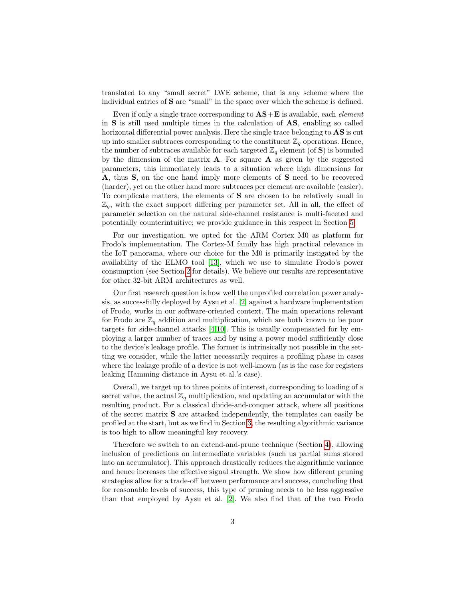translated to any "small secret" LWE scheme, that is any scheme where the individual entries of S are "small" in the space over which the scheme is defined.

Even if only a single trace corresponding to  $\mathbf{AS} + \mathbf{E}$  is available, each *element* in S is still used multiple times in the calculation of AS, enabling so called horizontal differential power analysis. Here the single trace belonging to  $\overline{AS}$  is cut up into smaller subtraces corresponding to the constituent  $\mathbb{Z}_q$  operations. Hence, the number of subtraces available for each targeted  $\mathbb{Z}_q$  element (of S) is bounded by the dimension of the matrix  $\bf{A}$ . For square  $\bf{A}$  as given by the suggested parameters, this immediately leads to a situation where high dimensions for A, thus S, on the one hand imply more elements of S need to be recovered (harder), yet on the other hand more subtraces per element are available (easier). To complicate matters, the elements of S are chosen to be relatively small in  $\mathbb{Z}_q$ , with the exact support differing per parameter set. All in all, the effect of parameter selection on the natural side-channel resistance is multi-faceted and potentially counterintuitive; we provide guidance in this respect in Section [5.](#page-14-0)

For our investigation, we opted for the ARM Cortex M0 as platform for Frodo's implementation. The Cortex-M family has high practical relevance in the IoT panorama, where our choice for the M0 is primarily instigated by the availability of the ELMO tool [\[13\]](#page-17-4), which we use to simulate Frodo's power consumption (see Section [2](#page-3-0) for details). We believe our results are representative for other 32-bit ARM architectures as well.

Our first research question is how well the unprofiled correlation power analysis, as successfully deployed by Aysu et al. [\[2\]](#page-16-4) against a hardware implementation of Frodo, works in our software-oriented context. The main operations relevant for Frodo are  $\mathbb{Z}_q$  addition and multiplication, which are both known to be poor targets for side-channel attacks [\[4,](#page-16-6)[10\]](#page-17-5). This is usually compensated for by employing a larger number of traces and by using a power model sufficiently close to the device's leakage profile. The former is intrinsically not possible in the setting we consider, while the latter necessarily requires a profiling phase in cases where the leakage profile of a device is not well-known (as is the case for registers leaking Hamming distance in Aysu et al.'s case).

Overall, we target up to three points of interest, corresponding to loading of a secret value, the actual  $\mathbb{Z}_q$  multiplication, and updating an accumulator with the resulting product. For a classical divide-and-conquer attack, where all positions of the secret matrix S are attacked independently, the templates can easily be profiled at the start, but as we find in Section [3,](#page-7-0) the resulting algorithmic variance is too high to allow meaningful key recovery.

Therefore we switch to an extend-and-prune technique (Section [4\)](#page-11-0), allowing inclusion of predictions on intermediate variables (such us partial sums stored into an accumulator). This approach drastically reduces the algorithmic variance and hence increases the effective signal strength. We show how different pruning strategies allow for a trade-off between performance and success, concluding that for reasonable levels of success, this type of pruning needs to be less aggressive than that employed by Aysu et al. [\[2\]](#page-16-4). We also find that of the two Frodo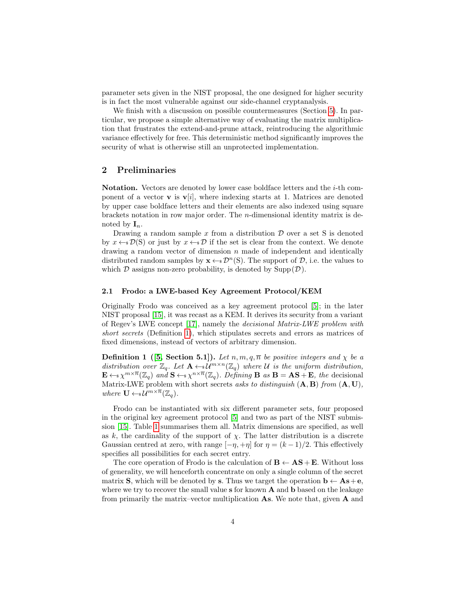parameter sets given in the NIST proposal, the one designed for higher security is in fact the most vulnerable against our side-channel cryptanalysis.

We finish with a discussion on possible countermeasures (Section [5\)](#page-14-0). In particular, we propose a simple alternative way of evaluating the matrix multiplication that frustrates the extend-and-prune attack, reintroducing the algorithmic variance effectively for free. This deterministic method significantly improves the security of what is otherwise still an unprotected implementation.

#### <span id="page-3-0"></span>2 Preliminaries

**Notation.** Vectors are denoted by lower case boldface letters and the  $i$ -th component of a vector **v** is  $\mathbf{v}[i]$ , where indexing starts at 1. Matrices are denoted by upper case boldface letters and their elements are also indexed using square brackets notation in row major order. The n-dimensional identity matrix is denoted by  $I_n$ .

Drawing a random sample  $x$  from a distribution  $D$  over a set S is denoted by  $x \leftarrow s \mathcal{D}(S)$  or just by  $x \leftarrow s \mathcal{D}$  if the set is clear from the context. We denote drawing a random vector of dimension  $n$  made of independent and identically distributed random samples by  $\mathbf{x} \leftarrow \mathcal{D}^n(S)$ . The support of  $D$ , i.e. the values to which  $\mathcal D$  assigns non-zero probability, is denoted by  $\text{Supp}(\mathcal D)$ .

#### 2.1 Frodo: a LWE-based Key Agreement Protocol/KEM

Originally Frodo was conceived as a key agreement protocol [\[5\]](#page-16-3); in the later NIST proposal [\[15\]](#page-17-3), it was recast as a KEM. It derives its security from a variant of Regev's LWE concept [\[17\]](#page-17-1), namely the decisional Matrix-LWE problem with short secrets (Definition [1\)](#page-3-1), which stipulates secrets and errors as matrices of fixed dimensions, instead of vectors of arbitrary dimension.

<span id="page-3-1"></span>**Definition 1** ([\[5,](#page-16-3) Section 5.1]). Let  $n, m, q, \overline{n}$  be positive integers and  $\chi$  be a distribution over  $\mathbb{Z}_q$ . Let  $\mathbf{A} \leftarrow \mathcal{U}^{m \times n}(\mathbb{Z}_q)$  where U is the uniform distribution,  $\mathbf{E} \leftarrow s \chi^{m \times \overline{n}}(\mathbb{Z}_q)$  and  $\mathbf{S} \leftarrow s \chi^{n \times \overline{n}}(\mathbb{Z}_q)$ . Defining  $\mathbf{B}$  as  $\mathbf{B} = \mathbf{AS} + \mathbf{E}$ , the decisional Matrix-LWE problem with short secrets asks to distinguish  $(A, B)$  from  $(A, U)$ , where  $\mathbf{U} \leftarrow \mathcal{U}^{m \times \overline{n}}(\mathbb{Z}_q)$ .

Frodo can be instantiated with six different parameter sets, four proposed in the original key agreement protocol [\[5\]](#page-16-3) and two as part of the NIST submission [\[15\]](#page-17-3). Table [1](#page-4-0) summarises them all. Matrix dimensions are specified, as well as k, the cardinality of the support of  $\chi$ . The latter distribution is a discrete Gaussian centred at zero, with range  $[-\eta, +\eta]$  for  $\eta = (k-1)/2$ . This effectively specifies all possibilities for each secret entry.

The core operation of Frodo is the calculation of  $\mathbf{B} \leftarrow \mathbf{AS} + \mathbf{E}$ . Without loss of generality, we will henceforth concentrate on only a single column of the secret matrix **S**, which will be denoted by **s**. Thus we target the operation  $\mathbf{b} \leftarrow \mathbf{As} + \mathbf{e}$ , where we try to recover the small value  $s$  for known  $A$  and  $b$  based on the leakage from primarily the matrix–vector multiplication  $\bf{A}s$ . We note that, given  $\bf{A}$  and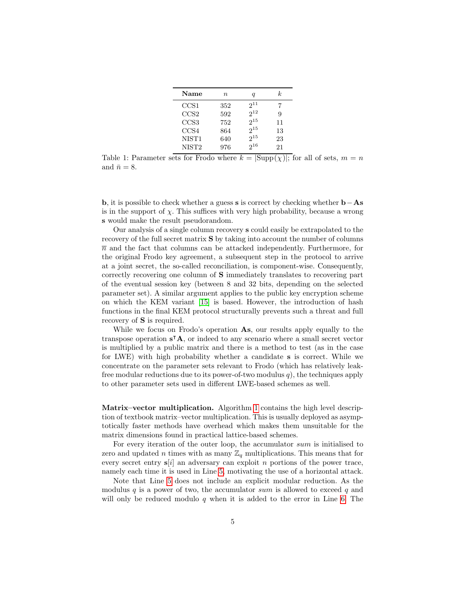| Name              | $\boldsymbol{n}$ | q        | k. |
|-------------------|------------------|----------|----|
| CCS1              | 352              | $2^{11}$ |    |
| CCS2              | 592              | $2^{12}$ | 9  |
| CCS3              | 752              | $2^{15}$ | 11 |
| CCS4              | 864              | $2^{15}$ | 13 |
| NIST <sub>1</sub> | 640              | $2^{15}$ | 23 |
| NIST <sub>2</sub> | 976              | $2^{16}$ | 21 |

<span id="page-4-0"></span>Table 1: Parameter sets for Frodo where  $k = |\text{Supp}(\chi)|$ ; for all of sets,  $m = n$ and  $\bar{n} = 8$ .

b, it is possible to check whether a guess s is correct by checking whether b−As is in the support of  $\chi$ . This suffices with very high probability, because a wrong s would make the result pseudorandom.

Our analysis of a single column recovery s could easily be extrapolated to the recovery of the full secret matrix S by taking into account the number of columns  $\overline{n}$  and the fact that columns can be attacked independently. Furthermore, for the original Frodo key agreement, a subsequent step in the protocol to arrive at a joint secret, the so-called reconciliation, is component-wise. Consequently, correctly recovering one column of S immediately translates to recovering part of the eventual session key (between 8 and 32 bits, depending on the selected parameter set). A similar argument applies to the public key encryption scheme on which the KEM variant [\[15\]](#page-17-3) is based. However, the introduction of hash functions in the final KEM protocol structurally prevents such a threat and full recovery of S is required.

While we focus on Frodo's operation **As**, our results apply equally to the transpose operation  $\mathbf{s}^\intercal \mathbf{A}$ , or indeed to any scenario where a small secret vector is multiplied by a public matrix and there is a method to test (as in the case for LWE) with high probability whether a candidate s is correct. While we concentrate on the parameter sets relevant to Frodo (which has relatively leakfree modular reductions due to its power-of-two modulus  $q$ ), the techniques apply to other parameter sets used in different LWE-based schemes as well.

Matrix–vector multiplication. Algorithm [1](#page-5-0) contains the high level description of textbook matrix–vector multiplication. This is usually deployed as asymptotically faster methods have overhead which makes them unsuitable for the matrix dimensions found in practical lattice-based schemes.

For every iteration of the outer loop, the accumulator sum is initialised to zero and updated n times with as many  $\mathbb{Z}_q$  multiplications. This means that for every secret entry  $s[i]$  an adversary can exploit n portions of the power trace, namely each time it is used in Line [5,](#page-5-0) motivating the use of a horizontal attack.

Note that Line [5](#page-5-0) does not include an explicit modular reduction. As the modulus  $q$  is a power of two, the accumulator sum is allowed to exceed  $q$  and will only be reduced modulo  $q$  when it is added to the error in Line [6.](#page-5-0) The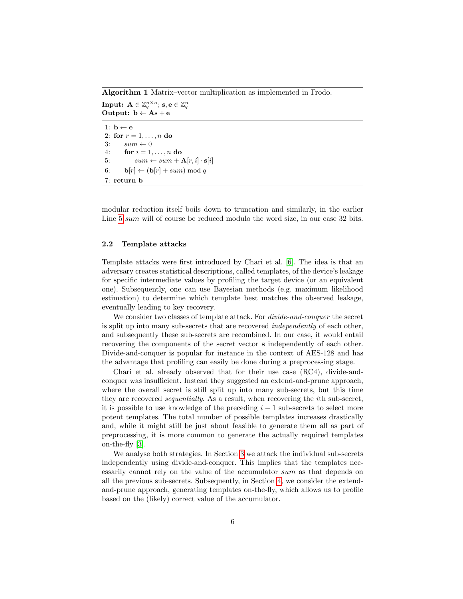<span id="page-5-0"></span>Algorithm 1 Matrix–vector multiplication as implemented in Frodo.

Output:  $b \leftarrow As + e$ 1:  $\mathbf{b} \leftarrow \mathbf{e}$ 2: for  $r = 1, ..., n$  do 3:  $sum \leftarrow 0$ 4: for  $i = 1, \ldots, n$  do 5:  $sum \leftarrow sum + \mathbf{A}[r, i] \cdot \mathbf{s}[i]$ 6:  $\mathbf{b}[r] \leftarrow (\mathbf{b}[r] + sum) \bmod q$ 7: return b

Input:  $\mathbf{A} \in \mathbb{Z}_q^{n \times n}; \, \mathbf{s}, \mathbf{e} \in \mathbb{Z}_q^n$ 

modular reduction itself boils down to truncation and similarly, in the earlier Line [5](#page-5-0) sum will of course be reduced modulo the word size, in our case 32 bits.

#### 2.2 Template attacks

Template attacks were first introduced by Chari et al. [\[6\]](#page-16-5). The idea is that an adversary creates statistical descriptions, called templates, of the device's leakage for specific intermediate values by profiling the target device (or an equivalent one). Subsequently, one can use Bayesian methods (e.g. maximum likelihood estimation) to determine which template best matches the observed leakage, eventually leading to key recovery.

We consider two classes of template attack. For *divide-and-conquer* the secret is split up into many sub-secrets that are recovered independently of each other, and subsequently these sub-secrets are recombined. In our case, it would entail recovering the components of the secret vector s independently of each other. Divide-and-conquer is popular for instance in the context of AES-128 and has the advantage that profiling can easily be done during a preprocessing stage.

Chari et al. already observed that for their use case (RC4), divide-andconquer was insufficient. Instead they suggested an extend-and-prune approach, where the overall secret is still split up into many sub-secrets, but this time they are recovered sequentially. As a result, when recovering the ith sub-secret, it is possible to use knowledge of the preceding  $i - 1$  sub-secrets to select more potent templates. The total number of possible templates increases drastically and, while it might still be just about feasible to generate them all as part of preprocessing, it is more common to generate the actually required templates on-the-fly [\[3\]](#page-16-7).

We analyse both strategies. In Section [3](#page-7-0) we attack the individual sub-secrets independently using divide-and-conquer. This implies that the templates necessarily cannot rely on the value of the accumulator sum as that depends on all the previous sub-secrets. Subsequently, in Section [4,](#page-11-0) we consider the extendand-prune approach, generating templates on-the-fly, which allows us to profile based on the (likely) correct value of the accumulator.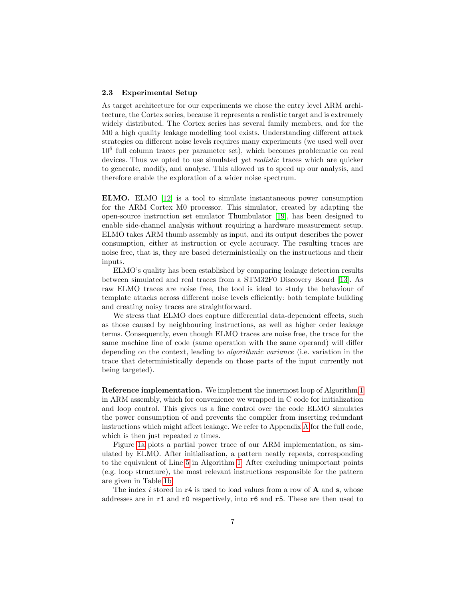#### 2.3 Experimental Setup

As target architecture for our experiments we chose the entry level ARM architecture, the Cortex series, because it represents a realistic target and is extremely widely distributed. The Cortex series has several family members, and for the M0 a high quality leakage modelling tool exists. Understanding different attack strategies on different noise levels requires many experiments (we used well over 10<sup>6</sup> full column traces per parameter set), which becomes problematic on real devices. Thus we opted to use simulated *yet realistic* traces which are quicker to generate, modify, and analyse. This allowed us to speed up our analysis, and therefore enable the exploration of a wider noise spectrum.

ELMO. ELMO [\[12\]](#page-17-6) is a tool to simulate instantaneous power consumption for the ARM Cortex M0 processor. This simulator, created by adapting the open-source instruction set emulator Thumbulator [\[19\]](#page-17-7), has been designed to enable side-channel analysis without requiring a hardware measurement setup. ELMO takes ARM thumb assembly as input, and its output describes the power consumption, either at instruction or cycle accuracy. The resulting traces are noise free, that is, they are based deterministically on the instructions and their inputs.

ELMO's quality has been established by comparing leakage detection results between simulated and real traces from a STM32F0 Discovery Board [\[13\]](#page-17-4). As raw ELMO traces are noise free, the tool is ideal to study the behaviour of template attacks across different noise levels efficiently: both template building and creating noisy traces are straightforward.

We stress that ELMO does capture differential data-dependent effects, such as those caused by neighbouring instructions, as well as higher order leakage terms. Consequently, even though ELMO traces are noise free, the trace for the same machine line of code (same operation with the same operand) will differ depending on the context, leading to algorithmic variance (i.e. variation in the trace that deterministically depends on those parts of the input currently not being targeted).

Reference implementation. We implement the innermost loop of Algorithm [1](#page-5-0) in ARM assembly, which for convenience we wrapped in C code for initialization and loop control. This gives us a fine control over the code ELMO simulates the power consumption of and prevents the compiler from inserting redundant instructions which might affect leakage. We refer to Appendix [A](#page-18-0) for the full code, which is then just repeated  $n$  times.

Figure [1a](#page-7-1) plots a partial power trace of our ARM implementation, as simulated by ELMO. After initialisation, a pattern neatly repeats, corresponding to the equivalent of Line [5](#page-5-0) in Algorithm [1.](#page-5-0) After excluding unimportant points (e.g. loop structure), the most relevant instructions responsible for the pattern are given in Table [1b.](#page-7-2)

The index  $i$  stored in  $r4$  is used to load values from a row of  $A$  and  $s$ , whose addresses are in r1 and r0 respectively, into r6 and r5. These are then used to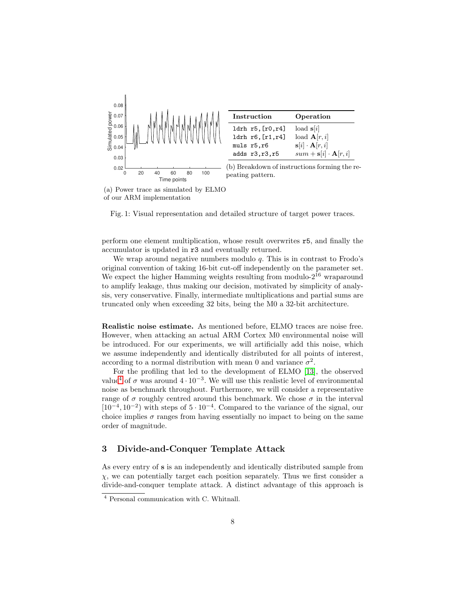<span id="page-7-2"></span><span id="page-7-1"></span>

(a) Power trace as simulated by ELMO of our ARM implementation

Fig. 1: Visual representation and detailed structure of target power traces.

perform one element multiplication, whose result overwrites r5, and finally the accumulator is updated in r3 and eventually returned.

We wrap around negative numbers modulo  $q$ . This is in contrast to Frodo's original convention of taking 16-bit cut-off independently on the parameter set. We expect the higher Hamming weights resulting from modulo- $2^{16}$  wraparound to amplify leakage, thus making our decision, motivated by simplicity of analysis, very conservative. Finally, intermediate multiplications and partial sums are truncated only when exceeding 32 bits, being the M0 a 32-bit architecture.

Realistic noise estimate. As mentioned before, ELMO traces are noise free. However, when attacking an actual ARM Cortex M0 environmental noise will be introduced. For our experiments, we will artificially add this noise, which we assume independently and identically distributed for all points of interest, according to a normal distribution with mean 0 and variance  $\sigma^2$ .

For the profiling that led to the development of ELMO [\[13\]](#page-17-4), the observed value<sup>[4](#page-7-3)</sup> of  $\sigma$  was around  $4 \cdot 10^{-3}$ . We will use this realistic level of environmental noise as benchmark throughout. Furthermore, we will consider a representative range of  $\sigma$  roughly centred around this benchmark. We chose  $\sigma$  in the interval  $[10^{-4}, 10^{-2})$  with steps of  $5 \cdot 10^{-4}$ . Compared to the variance of the signal, our choice implies  $\sigma$  ranges from having essentially no impact to being on the same order of magnitude.

# <span id="page-7-0"></span>3 Divide-and-Conquer Template Attack

As every entry of s is an independently and identically distributed sample from  $\chi$ , we can potentially target each position separately. Thus we first consider a divide-and-conquer template attack. A distinct advantage of this approach is

<span id="page-7-3"></span> $^4$  Personal communication with C. Whitnall.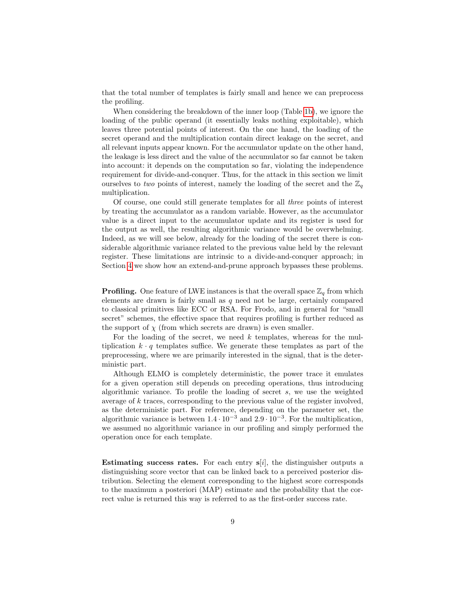that the total number of templates is fairly small and hence we can preprocess the profiling.

When considering the breakdown of the inner loop (Table [1b\)](#page-7-2), we ignore the loading of the public operand (it essentially leaks nothing exploitable), which leaves three potential points of interest. On the one hand, the loading of the secret operand and the multiplication contain direct leakage on the secret, and all relevant inputs appear known. For the accumulator update on the other hand, the leakage is less direct and the value of the accumulator so far cannot be taken into account: it depends on the computation so far, violating the independence requirement for divide-and-conquer. Thus, for the attack in this section we limit ourselves to two points of interest, namely the loading of the secret and the  $\mathbb{Z}_q$ multiplication.

Of course, one could still generate templates for all three points of interest by treating the accumulator as a random variable. However, as the accumulator value is a direct input to the accumulator update and its register is used for the output as well, the resulting algorithmic variance would be overwhelming. Indeed, as we will see below, already for the loading of the secret there is considerable algorithmic variance related to the previous value held by the relevant register. These limitations are intrinsic to a divide-and-conquer approach; in Section [4](#page-11-0) we show how an extend-and-prune approach bypasses these problems.

**Profiling.** One feature of LWE instances is that the overall space  $\mathbb{Z}_q$  from which elements are drawn is fairly small as  $q$  need not be large, certainly compared to classical primitives like ECC or RSA. For Frodo, and in general for "small secret" schemes, the effective space that requires profiling is further reduced as the support of  $\chi$  (from which secrets are drawn) is even smaller.

For the loading of the secret, we need  $k$  templates, whereas for the multiplication  $k \cdot q$  templates suffice. We generate these templates as part of the preprocessing, where we are primarily interested in the signal, that is the deterministic part.

Although ELMO is completely deterministic, the power trace it emulates for a given operation still depends on preceding operations, thus introducing algorithmic variance. To profile the loading of secret  $s$ , we use the weighted average of k traces, corresponding to the previous value of the register involved, as the deterministic part. For reference, depending on the parameter set, the algorithmic variance is between  $1.4 \cdot 10^{-3}$  and  $2.9 \cdot 10^{-3}$ . For the multiplication, we assumed no algorithmic variance in our profiling and simply performed the operation once for each template.

**Estimating success rates.** For each entry  $s[i]$ , the distinguisher outputs a distinguishing score vector that can be linked back to a perceived posterior distribution. Selecting the element corresponding to the highest score corresponds to the maximum a posteriori (MAP) estimate and the probability that the correct value is returned this way is referred to as the first-order success rate.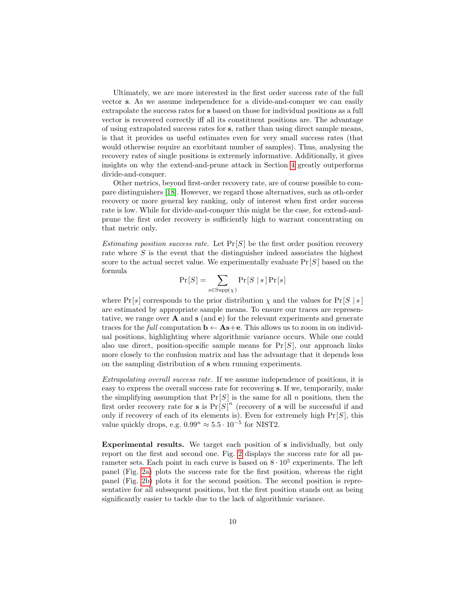Ultimately, we are more interested in the first order success rate of the full vector s. As we assume independence for a divide-and-conquer we can easily extrapolate the success rates for s based on those for individual positions as a full vector is recovered correctly iff all its constituent positions are. The advantage of using extrapolated success rates for s, rather than using direct sample means, is that it provides us useful estimates even for very small success rates (that would otherwise require an exorbitant number of samples). Thus, analysing the recovery rates of single positions is extremely informative. Additionally, it gives insights on why the extend-and-prune attack in Section [4](#page-11-0) greatly outperforms divide-and-conquer.

Other metrics, beyond first-order recovery rate, are of course possible to compare distinguishers [\[18\]](#page-17-8). However, we regard those alternatives, such as oth-order recovery or more general key ranking, only of interest when first order success rate is low. While for divide-and-conquer this might be the case, for extend-andprune the first order recovery is sufficiently high to warrant concentrating on that metric only.

Estimating position success rate. Let  $Pr[S]$  be the first order position recovery rate where  $S$  is the event that the distinguisher indeed associates the highest score to the actual secret value. We experimentally evaluate  $Pr[S]$  based on the formula

$$
\Pr[S] = \sum_{s \in \text{Supp}(\chi)} \Pr[S \mid s] \Pr[s]
$$

where  $Pr[s]$  corresponds to the prior distribution  $\chi$  and the values for  $Pr[S \mid s]$ are estimated by appropriate sample means. To ensure our traces are representative, we range over  $A$  and  $s$  (and  $e$ ) for the relevant experiments and generate traces for the full computation  $\mathbf{b} \leftarrow \mathbf{As} + \mathbf{e}$ . This allows us to zoom in on individual positions, highlighting where algorithmic variance occurs. While one could also use direct, position-specific sample means for  $Pr[S]$ , our approach links more closely to the confusion matrix and has the advantage that it depends less on the sampling distribution of s when running experiments.

Extrapolating overall success rate. If we assume independence of positions, it is easy to express the overall success rate for recovering s. If we, temporarily, make the simplifying assumption that  $Pr[S]$  is the same for all n positions, then the first order recovery rate for **s** is  $Pr[S]^n$  (recovery of **s** will be successful if and only if recovery of each of its elements is). Even for extremely high  $Pr[S]$ , this value quickly drops, e.g.  $0.99^n \approx 5.5 \cdot 10^{-5}$  for NIST2.

Experimental results. We target each position of s individually, but only report on the first and second one. Fig. [2](#page-10-0) displays the success rate for all parameter sets. Each point in each curve is based on  $8 \cdot 10^5$  experiments. The left panel (Fig. [2a\)](#page-10-1) plots the success rate for the first position, whereas the right panel (Fig. [2b\)](#page-10-2) plots it for the second position. The second position is representative for all subsequent positions, but the first position stands out as being significantly easier to tackle due to the lack of algorithmic variance.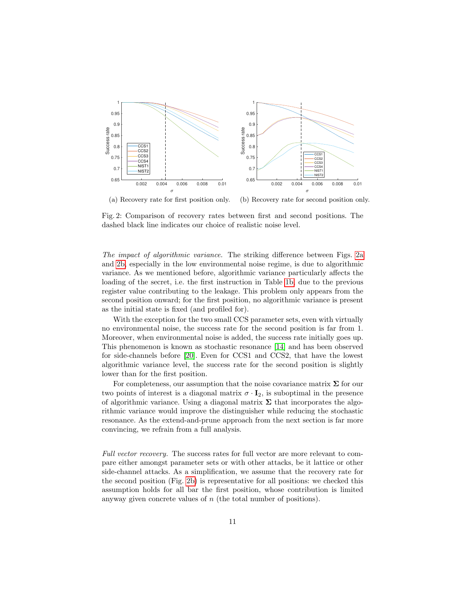<span id="page-10-1"></span><span id="page-10-0"></span>

<span id="page-10-2"></span>(a) Recovery rate for first position only. (b) Recovery rate for second position only.

Fig. 2: Comparison of recovery rates between first and second positions. The dashed black line indicates our choice of realistic noise level.

The impact of algorithmic variance. The striking difference between Figs. [2a](#page-10-1) and [2b,](#page-10-2) especially in the low environmental noise regime, is due to algorithmic variance. As we mentioned before, algorithmic variance particularly affects the loading of the secret, i.e. the first instruction in Table [1b,](#page-7-2) due to the previous register value contributing to the leakage. This problem only appears from the second position onward; for the first position, no algorithmic variance is present as the initial state is fixed (and profiled for).

With the exception for the two small CCS parameter sets, even with virtually no environmental noise, the success rate for the second position is far from 1. Moreover, when environmental noise is added, the success rate initially goes up. This phenomenon is known as stochastic resonance [\[14\]](#page-17-9) and has been observed for side-channels before [\[20\]](#page-17-10). Even for CCS1 and CCS2, that have the lowest algorithmic variance level, the success rate for the second position is slightly lower than for the first position.

For completeness, our assumption that the noise covariance matrix  $\Sigma$  for our two points of interest is a diagonal matrix  $\sigma \cdot I_2$ , is suboptimal in the presence of algorithmic variance. Using a diagonal matrix  $\Sigma$  that incorporates the algorithmic variance would improve the distinguisher while reducing the stochastic resonance. As the extend-and-prune approach from the next section is far more convincing, we refrain from a full analysis.

Full vector recovery. The success rates for full vector are more relevant to compare either amongst parameter sets or with other attacks, be it lattice or other side-channel attacks. As a simplification, we assume that the recovery rate for the second position (Fig. [2b\)](#page-10-2) is representative for all positions: we checked this assumption holds for all bar the first position, whose contribution is limited anyway given concrete values of  $n$  (the total number of positions).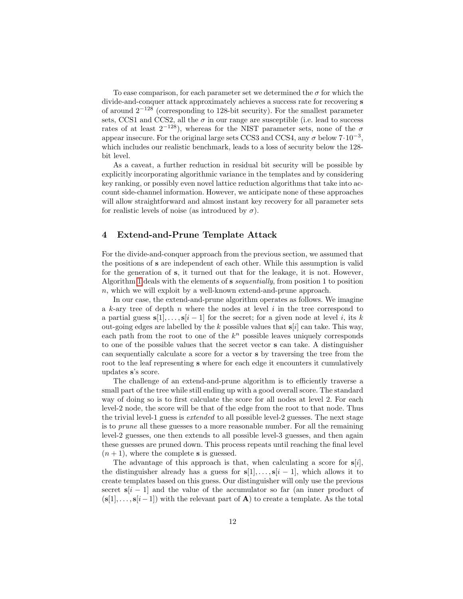To ease comparison, for each parameter set we determined the  $\sigma$  for which the divide-and-conquer attack approximately achieves a success rate for recovering s of around  $2^{-128}$  (corresponding to 128-bit security). For the smallest parameter sets, CCS1 and CCS2, all the  $\sigma$  in our range are susceptible (i.e. lead to success rates of at least  $2^{-128}$ ), whereas for the NIST parameter sets, none of the  $\sigma$ appear insecure. For the original large sets CCS3 and CCS4, any  $\sigma$  below  $7 \cdot 10^{-3}$ , which includes our realistic benchmark, leads to a loss of security below the 128 bit level.

As a caveat, a further reduction in residual bit security will be possible by explicitly incorporating algorithmic variance in the templates and by considering key ranking, or possibly even novel lattice reduction algorithms that take into account side-channel information. However, we anticipate none of these approaches will allow straightforward and almost instant key recovery for all parameter sets for realistic levels of noise (as introduced by  $\sigma$ ).

### <span id="page-11-0"></span>4 Extend-and-Prune Template Attack

For the divide-and-conquer approach from the previous section, we assumed that the positions of s are independent of each other. While this assumption is valid for the generation of s, it turned out that for the leakage, it is not. However, Algorithm [1](#page-5-0) deals with the elements of s sequentially, from position 1 to position  $n$ , which we will exploit by a well-known extend-and-prune approach.

In our case, the extend-and-prune algorithm operates as follows. We imagine a k-ary tree of depth  $n$  where the nodes at level  $i$  in the tree correspond to a partial guess  $s[1], \ldots, s[i-1]$  for the secret; for a given node at level i, its k out-going edges are labelled by the k possible values that  $s[i]$  can take. This way, each path from the root to one of the  $k^n$  possible leaves uniquely corresponds to one of the possible values that the secret vector s can take. A distinguisher can sequentially calculate a score for a vector s by traversing the tree from the root to the leaf representing s where for each edge it encounters it cumulatively updates s's score.

The challenge of an extend-and-prune algorithm is to efficiently traverse a small part of the tree while still ending up with a good overall score. The standard way of doing so is to first calculate the score for all nodes at level 2. For each level-2 node, the score will be that of the edge from the root to that node. Thus the trivial level-1 guess is extended to all possible level-2 guesses. The next stage is to prune all these guesses to a more reasonable number. For all the remaining level-2 guesses, one then extends to all possible level-3 guesses, and then again these guesses are pruned down. This process repeats until reaching the final level  $(n + 1)$ , where the complete **s** is guessed.

The advantage of this approach is that, when calculating a score for  $s[i]$ , the distinguisher already has a guess for  $s[1], \ldots, s[i-1]$ , which allows it to create templates based on this guess. Our distinguisher will only use the previous secret  $s[i - 1]$  and the value of the accumulator so far (an inner product of  $(\mathbf{s}[1], \ldots, \mathbf{s}[i-1])$  with the relevant part of **A**) to create a template. As the total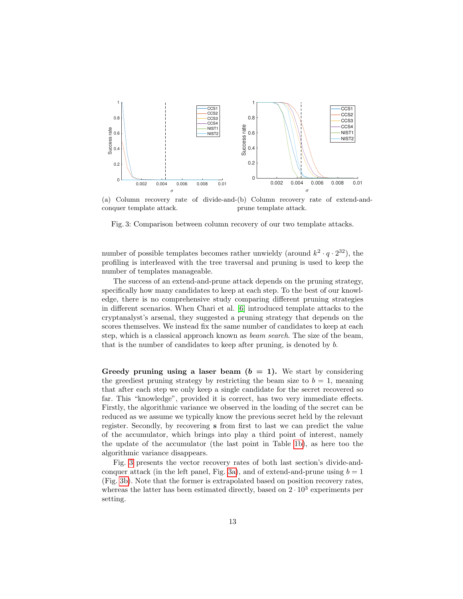<span id="page-12-1"></span><span id="page-12-0"></span>

 $(a)$  Column recovery conquer template attack. rate of divide-and-(b) Column recovery rate of extend-andprune template attack.

<span id="page-12-2"></span>Fig. 3: Comparison between column recovery of our two template attacks.

number of possible templates becomes rather unwieldy (around  $k^2 \cdot q \cdot 2^{32}$ ), the profiling is interleaved with the tree traversal and pruning is used to keep the number of templates manageable.

The success of an extend-and-prune attack depends on the pruning strategy, specifically how many candidates to keep at each step. To the best of our knowledge, there is no comprehensive study comparing different pruning strategies in different scenarios. When Chari et al. [\[6\]](#page-16-5) introduced template attacks to the cryptanalyst's arsenal, they suggested a pruning strategy that depends on the scores themselves. We instead fix the same number of candidates to keep at each step, which is a classical approach known as beam search. The size of the beam, that is the number of candidates to keep after pruning, is denoted by b.

Greedy pruning using a laser beam  $(b = 1)$ . We start by considering the greediest pruning strategy by restricting the beam size to  $b = 1$ , meaning that after each step we only keep a single candidate for the secret recovered so far. This "knowledge", provided it is correct, has two very immediate effects. Firstly, the algorithmic variance we observed in the loading of the secret can be reduced as we assume we typically know the previous secret held by the relevant register. Secondly, by recovering s from first to last we can predict the value of the accumulator, which brings into play a third point of interest, namely the update of the accumulator (the last point in Table [1b\)](#page-7-2), as here too the algorithmic variance disappears.

Fig. [3](#page-12-0) presents the vector recovery rates of both last section's divide-and-conquer attack (in the left panel, Fig. [3a\)](#page-12-1), and of extend-and-prune using  $b = 1$ (Fig. [3b\)](#page-12-2). Note that the former is extrapolated based on position recovery rates, whereas the latter has been estimated directly, based on  $2 \cdot 10^3$  experiments per setting.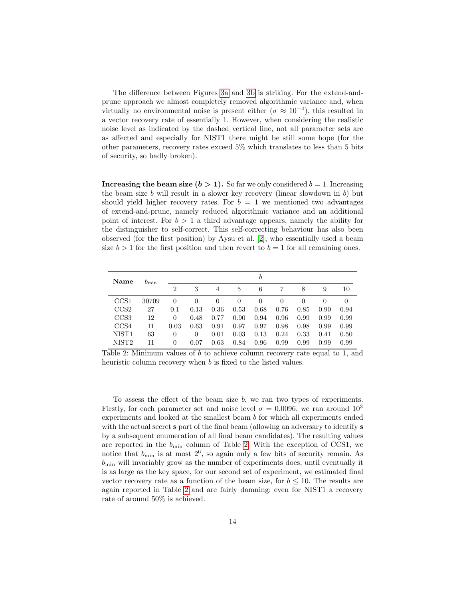The difference between Figures [3a](#page-12-1) and [3b](#page-12-2) is striking. For the extend-andprune approach we almost completely removed algorithmic variance and, when virtually no environmental noise is present either  $(\sigma \approx 10^{-4})$ , this resulted in a vector recovery rate of essentially 1. However, when considering the realistic noise level as indicated by the dashed vertical line, not all parameter sets are as affected and especially for NIST1 there might be still some hope (for the other parameters, recovery rates exceed 5% which translates to less than 5 bits of security, so badly broken).

Increasing the beam size  $(b > 1)$ . So far we only considered  $b = 1$ . Increasing the beam size b will result in a slower key recovery (linear slowdown in b) but should yield higher recovery rates. For  $b = 1$  we mentioned two advantages of extend-and-prune, namely reduced algorithmic variance and an additional point of interest. For  $b > 1$  a third advantage appears, namely the ability for the distinguisher to self-correct. This self-correcting behaviour has also been observed (for the first position) by Aysu et al. [\[2\]](#page-16-4), who essentially used a beam size  $b > 1$  for the first position and then revert to  $b = 1$  for all remaining ones.

<span id="page-13-0"></span>

| Name              | $b_{\min}$ |                | b    |          |      |          |      |      |      |      |
|-------------------|------------|----------------|------|----------|------|----------|------|------|------|------|
|                   |            | $\overline{2}$ | 3    | 4        | 5    | 6        |      | 8    | 9    | 10   |
| CCS1              | 30709      | 0              | 0    | $\theta$ | 0    | $\Omega$ | 0    | 0    | 0    | 0    |
| CCS2              | 27         | 0.1            | 0.13 | 0.36     | 0.53 | 0.68     | 0.76 | 0.85 | 0.90 | 0.94 |
| CCS <sub>3</sub>  | 12         | 0              | 0.48 | 0.77     | 0.90 | 0.94     | 0.96 | 0.99 | 0.99 | 0.99 |
| CCS4              | 11         | 0.03           | 0.63 | 0.91     | 0.97 | 0.97     | 0.98 | 0.98 | 0.99 | 0.99 |
| NIST <sub>1</sub> | 63         | 0              | 0    | 0.01     | 0.03 | 0.13     | 0.24 | 0.33 | 0.41 | 0.50 |
| NIST <sub>2</sub> | 11         | 0              | 0.07 | 0.63     | 0.84 | 0.96     | 0.99 | 0.99 | 0.99 | 0.99 |

Table 2: Minimum values of b to achieve column recovery rate equal to 1, and heuristic column recovery when b is fixed to the listed values.

To assess the effect of the beam size  $b$ , we ran two types of experiments. Firstly, for each parameter set and noise level  $\sigma = 0.0096$ , we ran around  $10^3$ experiments and looked at the smallest beam b for which all experiments ended with the actual secret s part of the final beam (allowing an adversary to identify s by a subsequent enumeration of all final beam candidates). The resulting values are reported in the  $b_{\text{min}}$  column of Table [2.](#page-13-0) With the exception of CCS1, we notice that  $b_{\text{min}}$  is at most  $2^6$ , so again only a few bits of security remain. As  $b_{\text{min}}$  will invariably grow as the number of experiments does, until eventually it is as large as the key space, for our second set of experiment, we estimated final vector recovery rate as a function of the beam size, for  $b \leq 10$ . The results are again reported in Table [2](#page-13-0) and are fairly damning: even for NIST1 a recovery rate of around 50% is achieved.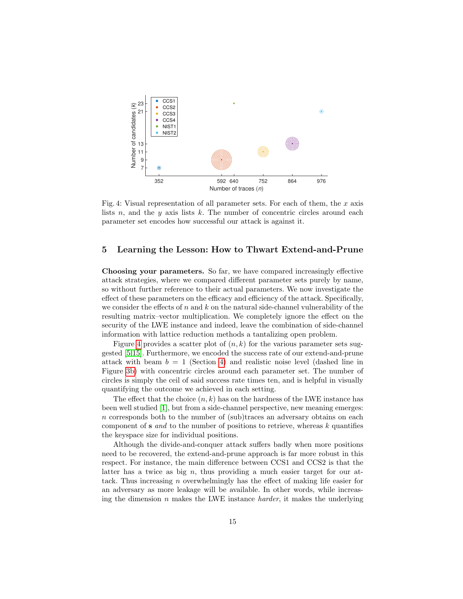<span id="page-14-1"></span>

Fig. 4: Visual representation of all parameter sets. For each of them, the  $x$  axis lists  $n$ , and the  $y$  axis lists  $k$ . The number of concentric circles around each parameter set encodes how successful our attack is against it.

# <span id="page-14-0"></span>5 Learning the Lesson: How to Thwart Extend-and-Prune

Choosing your parameters. So far, we have compared increasingly effective attack strategies, where we compared different parameter sets purely by name, so without further reference to their actual parameters. We now investigate the effect of these parameters on the efficacy and efficiency of the attack. Specifically, we consider the effects of  $n$  and  $k$  on the natural side-channel vulnerability of the resulting matrix–vector multiplication. We completely ignore the effect on the security of the LWE instance and indeed, leave the combination of side-channel information with lattice reduction methods a tantalizing open problem.

Figure [4](#page-14-1) provides a scatter plot of  $(n, k)$  for the various parameter sets suggested [\[5,](#page-16-3)[15\]](#page-17-3). Furthermore, we encoded the success rate of our extend-and-prune attack with beam  $b = 1$  (Section [4\)](#page-11-0) and realistic noise level (dashed line in Figure [3b\)](#page-12-2) with concentric circles around each parameter set. The number of circles is simply the ceil of said success rate times ten, and is helpful in visually quantifying the outcome we achieved in each setting.

The effect that the choice  $(n, k)$  has on the hardness of the LWE instance has been well studied [\[1\]](#page-16-8), but from a side-channel perspective, new meaning emerges: n corresponds both to the number of (sub)traces an adversary obtains on each component of  $s$  and to the number of positions to retrieve, whereas  $k$  quantifies the keyspace size for individual positions.

Although the divide-and-conquer attack suffers badly when more positions need to be recovered, the extend-and-prune approach is far more robust in this respect. For instance, the main difference between CCS1 and CCS2 is that the latter has a twice as big  $n$ , thus providing a much easier target for our attack. Thus increasing n overwhelmingly has the effect of making life easier for an adversary as more leakage will be available. In other words, while increasing the dimension  $n$  makes the LWE instance *harder*, it makes the underlying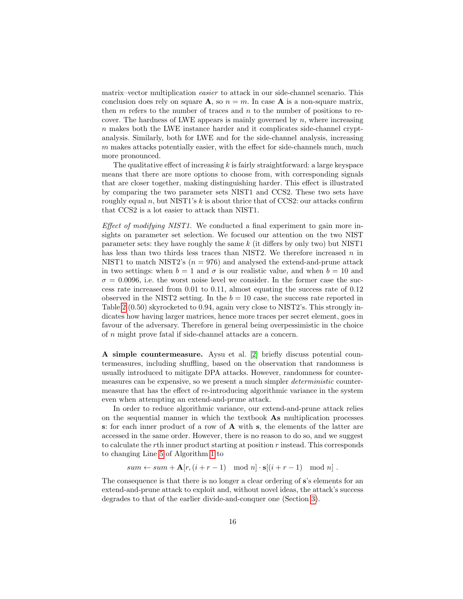matrix–vector multiplication easier to attack in our side-channel scenario. This conclusion does rely on square  $\mathbf{A}$ , so  $n = m$ . In case  $\mathbf{A}$  is a non-square matrix, then  $m$  refers to the number of traces and  $n$  to the number of positions to recover. The hardness of LWE appears is mainly governed by  $n$ , where increasing  $n$  makes both the LWE instance harder and it complicates side-channel cryptanalysis. Similarly, both for LWE and for the side-channel analysis, increasing  $m$  makes attacks potentially easier, with the effect for side-channels much, much more pronounced.

The qualitative effect of increasing  $k$  is fairly straightforward: a large keyspace means that there are more options to choose from, with corresponding signals that are closer together, making distinguishing harder. This effect is illustrated by comparing the two parameter sets NIST1 and CCS2. These two sets have roughly equal n, but NIST1's k is about thrice that of CCS2: our attacks confirm that CCS2 is a lot easier to attack than NIST1.

Effect of modifying NIST1. We conducted a final experiment to gain more insights on parameter set selection. We focused our attention on the two NIST parameter sets: they have roughly the same k (it differs by only two) but NIST1 has less than two thirds less traces than NIST2. We therefore increased  $n$  in NIST1 to match NIST2's  $(n = 976)$  and analysed the extend-and-prune attack in two settings: when  $b = 1$  and  $\sigma$  is our realistic value, and when  $b = 10$  and  $\sigma = 0.0096$ , i.e. the worst noise level we consider. In the former case the success rate increased from 0.01 to 0.11, almost equating the success rate of 0.12 observed in the NIST2 setting. In the  $b = 10$  case, the success rate reported in Table [2](#page-13-0) (0.50) skyrocketed to 0.94, again very close to NIST2's. This strongly indicates how having larger matrices, hence more traces per secret element, goes in favour of the adversary. Therefore in general being overpessimistic in the choice of n might prove fatal if side-channel attacks are a concern.

A simple countermeasure. Aysu et al. [\[2\]](#page-16-4) briefly discuss potential countermeasures, including shuffling, based on the observation that randomness is usually introduced to mitigate DPA attacks. However, randomness for countermeasures can be expensive, so we present a much simpler deterministic countermeasure that has the effect of re-introducing algorithmic variance in the system even when attempting an extend-and-prune attack.

In order to reduce algorithmic variance, our extend-and-prune attack relies on the sequential manner in which the textbook As multiplication processes s: for each inner product of a row of A with s, the elements of the latter are accessed in the same order. However, there is no reason to do so, and we suggest to calculate the rth inner product starting at position  $r$  instead. This corresponds to changing Line [5](#page-5-0) of Algorithm [1](#page-5-0) to

 $sum \leftarrow sum + \mathbf{A}[r,(i+r-1) \mod n] \cdot \mathbf{s}[(i+r-1) \mod n]$ .

The consequence is that there is no longer a clear ordering of s's elements for an extend-and-prune attack to exploit and, without novel ideas, the attack's success degrades to that of the earlier divide-and-conquer one (Section [3\)](#page-7-0).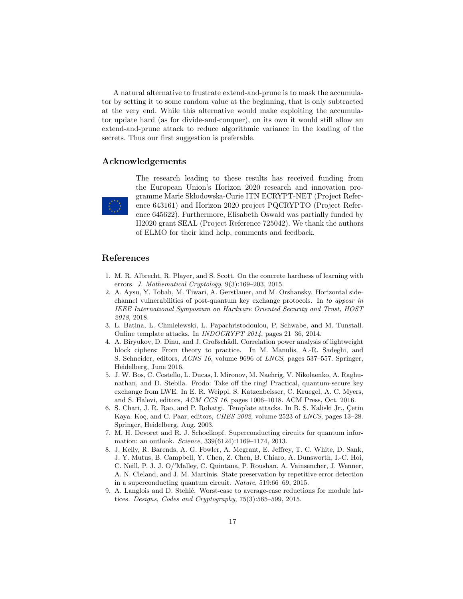A natural alternative to frustrate extend-and-prune is to mask the accumulator by setting it to some random value at the beginning, that is only subtracted at the very end. While this alternative would make exploiting the accumulator update hard (as for divide-and-conquer), on its own it would still allow an extend-and-prune attack to reduce algorithmic variance in the loading of the secrets. Thus our first suggestion is preferable.

#### Acknowledgements



The research leading to these results has received funding from the European Union's Horizon 2020 research and innovation programme Marie Skłodowska-Curie ITN ECRYPT-NET (Project Reference 643161) and Horizon 2020 project PQCRYPTO (Project Reference 645622). Furthermore, Elisabeth Oswald was partially funded by H2020 grant SEAL (Project Reference 725042). We thank the authors of ELMO for their kind help, comments and feedback.

# References

- <span id="page-16-8"></span>1. M. R. Albrecht, R. Player, and S. Scott. On the concrete hardness of learning with errors. J. Mathematical Cryptology, 9(3):169–203, 2015.
- <span id="page-16-4"></span>2. A. Aysu, Y. Tobah, M. Tiwari, A. Gerstlauer, and M. Orshansky. Horizontal sidechannel vulnerabilities of post-quantum key exchange protocols. In to appear in IEEE International Symposium on Hardware Oriented Security and Trust, HOST 2018, 2018.
- <span id="page-16-7"></span>3. L. Batina, L. Chmielewski, L. Papachristodoulou, P. Schwabe, and M. Tunstall. Online template attacks. In INDOCRYPT 2014, pages 21–36, 2014.
- <span id="page-16-6"></span>4. A. Biryukov, D. Dinu, and J. Großschädl. Correlation power analysis of lightweight block ciphers: From theory to practice. In M. Manulis, A.-R. Sadeghi, and S. Schneider, editors, ACNS 16, volume 9696 of LNCS, pages 537–557. Springer, Heidelberg, June 2016.
- <span id="page-16-3"></span>5. J. W. Bos, C. Costello, L. Ducas, I. Mironov, M. Naehrig, V. Nikolaenko, A. Raghunathan, and D. Stebila. Frodo: Take off the ring! Practical, quantum-secure key exchange from LWE. In E. R. Weippl, S. Katzenbeisser, C. Kruegel, A. C. Myers, and S. Halevi, editors, ACM CCS 16, pages 1006–1018. ACM Press, Oct. 2016.
- <span id="page-16-5"></span>6. S. Chari, J. R. Rao, and P. Rohatgi. Template attacks. In B. S. Kaliski Jr., Çetin Kaya. Koç, and C. Paar, editors, *CHES 2002*, volume 2523 of *LNCS*, pages 13–28. Springer, Heidelberg, Aug. 2003.
- <span id="page-16-0"></span>7. M. H. Devoret and R. J. Schoelkopf. Superconducting circuits for quantum information: an outlook. Science, 339(6124):1169–1174, 2013.
- <span id="page-16-1"></span>8. J. Kelly, R. Barends, A. G. Fowler, A. Megrant, E. Jeffrey, T. C. White, D. Sank, J. Y. Mutus, B. Campbell, Y. Chen, Z. Chen, B. Chiaro, A. Dunsworth, I.-C. Hoi, C. Neill, P. J. J. O/'Malley, C. Quintana, P. Roushan, A. Vainsencher, J. Wenner, A. N. Cleland, and J. M. Martinis. State preservation by repetitive error detection in a superconducting quantum circuit. Nature, 519:66–69, 2015.
- <span id="page-16-2"></span>9. A. Langlois and D. Stehlé. Worst-case to average-case reductions for module lattices. Designs, Codes and Cryptography, 75(3):565–599, 2015.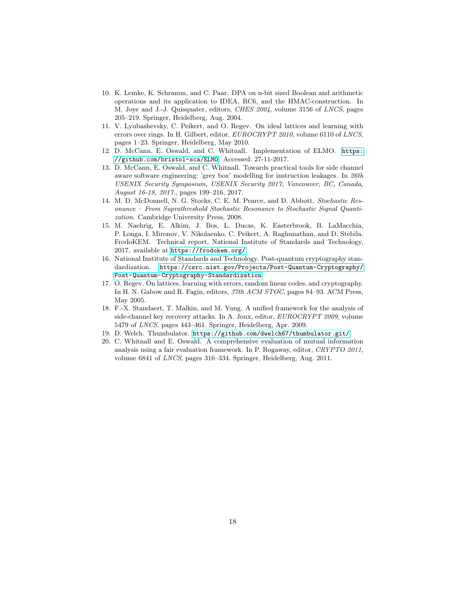- <span id="page-17-5"></span>10. K. Lemke, K. Schramm, and C. Paar. DPA on n-bit sized Boolean and arithmetic operations and its application to IDEA, RC6, and the HMAC-construction. In M. Joye and J.-J. Quisquater, editors, CHES 2004, volume 3156 of LNCS, pages 205–219. Springer, Heidelberg, Aug. 2004.
- <span id="page-17-2"></span>11. V. Lyubashevsky, C. Peikert, and O. Regev. On ideal lattices and learning with errors over rings. In H. Gilbert, editor, EUROCRYPT 2010, volume 6110 of LNCS, pages 1–23. Springer, Heidelberg, May 2010.
- <span id="page-17-6"></span>12. D. McCann, E. Oswald, and C. Whitnall. Implementation of ELMO. [https:](https://github.com/bristol-sca/ELMO) [//github.com/bristol-sca/ELMO](https://github.com/bristol-sca/ELMO). Accessed: 27-11-2017.
- <span id="page-17-4"></span>13. D. McCann, E. Oswald, and C. Whitnall. Towards practical tools for side channel aware software engineering: 'grey box' modelling for instruction leakages. In 26th USENIX Security Symposium, USENIX Security 2017, Vancouver, BC, Canada, August 16-18, 2017., pages 199–216, 2017.
- <span id="page-17-9"></span>14. M. D. McDonnell, N. G. Stocks, C. E. M. Pearce, and D. Abbott. Stochastic Resonance – From Suprathreshold Stochastic Resonance to Stochastic Signal Quantization. Cambridge University Press, 2008.
- <span id="page-17-3"></span>15. M. Naehrig, E. Alkim, J. Bos, L. Ducas, K. Easterbrook, B. LaMacchia, P. Longa, I. Mironov, V. Nikolaenko, C. Peikert, A. Raghunathan, and D. Stebila. FrodoKEM. Technical report, National Institute of Standards and Technology, 2017. available at <https://frodokem.org/>.
- <span id="page-17-0"></span>16. National Institute of Standards and Technology. Post-quantum cryptography standardization. [https://csrc.nist.gov/Projects/Post-Quantum-Cryptography/](https://csrc.nist.gov/Projects/Post-Quantum-Cryptography/Post-Quantum-Cryptography-Standardization) [Post-Quantum-Cryptography-Standardization](https://csrc.nist.gov/Projects/Post-Quantum-Cryptography/Post-Quantum-Cryptography-Standardization).
- <span id="page-17-1"></span>17. O. Regev. On lattices, learning with errors, random linear codes, and cryptography. In H. N. Gabow and R. Fagin, editors, 37th ACM STOC, pages 84–93. ACM Press, May 2005.
- <span id="page-17-8"></span>18. F.-X. Standaert, T. Malkin, and M. Yung. A unified framework for the analysis of side-channel key recovery attacks. In A. Joux, editor, EUROCRYPT 2009, volume 5479 of LNCS, pages 443–461. Springer, Heidelberg, Apr. 2009.
- <span id="page-17-7"></span>19. D. Welch. Thumbulator. <https://github.com/dwelch67/thumbulator.git/>.
- <span id="page-17-10"></span>20. C. Whitnall and E. Oswald. A comprehensive evaluation of mutual information analysis using a fair evaluation framework. In P. Rogaway, editor, CRYPTO 2011, volume 6841 of LNCS, pages 316–334. Springer, Heidelberg, Aug. 2011.